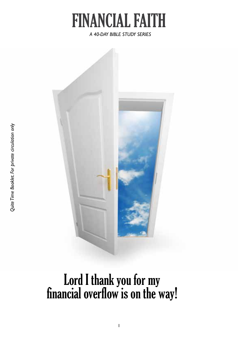

*A 40-DAY BIBLE STUDY SERIES*



Lord I thank you for my financial overflow is on the way!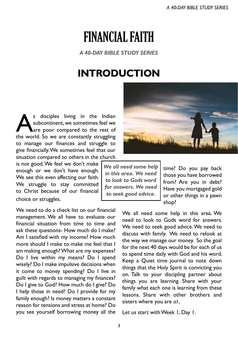# FINANCIAL FAITH

*A 40-DAY BIBLE STUDY SERIES*

# **INTRODUCTION**

s disciples living in the Indian<br>subcontinent, we sometimes feel we<br>the world So we are constantly struggling subcontinent, we sometimes feel we are poor compared to the rest of the world. So we are constantly struggling to manage our finances and struggle to give financially. We sometimes feel that our situation compared to others in the church

is not good. We feel we don't make enough or we don't have enough. We see this even affecting our faith. We struggle to stay committed to Christ because of our financial choice or struggles.

We need to do a check list on our financial management. We all have to evaluate our financial situation from time to time and ask these questions- How much do I make? Am I satisfied with my income? How much more should I make to make me feel that I am making enough? What are my expenses? Do I live within my means? Do I spend wisely? Do I make impulsive decisions when it come to money spending? Do I live in guilt with regards to managing my finances? Do I give to God? How much do I give? Do I help those in need? Do I provide for my family enough? Is money matters a constant reason for tensions and stress at home? Do you see yourself borrowing money all the



*We all need some help in this area. We need to look to Gods word for answers. We need to seek good advice.* 

time? Do you pay back those you have borrowed from? Are you in debt? Have you mortgaged gold or other things in a pawn shop?

We all need some help in this area. We need to look to Gods word for answers. We need to seek good advice. We need to discuss with family. We need to relook at the way we manage our money. So the goal for the next 40 days would be for each of us to spend time daily with God and his word. Keep a Quiet time journal to note down things that the Holy Spirit is convicting you on. Talk to your discipling partner about things you are learning. Share with your family what each one is learning from these lessons. Share with other brothers and sisters where you are at.

Let us start with Week 1, Day 1.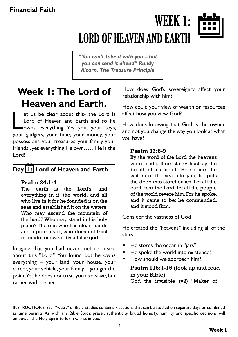# WEEK 1: LORD OF HEAVEN AND EARTH



*"You can't take it with you – but you can send it ahead" Randy Alcorn, The Treasure Principle*

# **Week 1: The Lord of Heaven and Earth.**

et us be clear about this- the Lord is<br>Lord of Heaven and Earth and so he<br>wowns everything. Yes you, your toys,<br>your gadgets, your time, your money, your et us be clear about this- the Lord is Lord of Heaven and Earth and so he owns everything. Yes you, your toys, possessions, your treasures, your family, your friends , yes everything He own……He is the Lord!

# **Day 1: Lord of Heaven and Earth**

#### **Psalm 24:1-4**

The earth is the Lord's, and everything in it, the world, and all who live in it for he founded it on the seas and established it on the waters. Who may ascend the mountain of the Lord? Who may stand in his holy place? The one who has clean hands and a pure heart, who does not trust in an idol or swear by a false god.

Imagine that you had never met or heard about this "Lord." You found out he owns everything – your land, your house, your career, your vehicle, your family – you get the point. Yet he does not treat you as a slave, but rather with respect.

How does God's sovereignty affect your relationship with him?

How could your view of wealth or resources affect how you view God?

How does knowing that God is the owner and not you change the way you look at what you have?

#### **Psalm 33:6-9**

By the word of the Lord the heavens were made, their starry host by the breath of his mouth. He gathers the waters of the sea into jars; he puts the deep into storehouses. Let all the earth fear the Lord; let all the people of the world revere him. For he spoke, and it came to be; he commanded, and it stood firm.

Consider the vastness of God

He created the "heavens" including all of the stars

- He stores the ocean in "jars"
- He spoke the world into existence!
- How should we approach him?

**Psalm 115:1-15** (look up and read in your Bible) God the invisible (v2) "Maker of

INSTRUCTIONS: Each "week" of Bible Studies contains 7 sections that can be studied on separate days or combined as time permits. As with any Bible Study, prayer, authenticity, brutal honesty, humility, and specific decisions will empower the Holy Spirit to form Christ in you.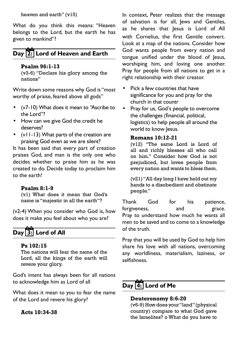heaven and earth" (v15)

What do you think this means: "Heaven belongs to the Lord, but the earth he has given to mankind"?

# **Day 2: Lord of Heaven and Earth**

#### **Psalm 96:1-13**

(v3-6) "Declare his glory among the nations"

Write down some reasons why God is "most worthy of praise, feared above all gods"

- • (v7-10) What does it mean to "Ascribe to the Lord"?
- How can we give God the credit he deserves?
- • (v11-13) What parts of the creation are praising God even as we are silent?

It has been said that every part of creation praises God, and man is the only one who decides whether to praise him as he was created to do. Decide today to proclaim him to the earth!

#### **Psalm 8:1-9**

(v1) What does it mean that God's name is "majestic in all the earth"?

(v2-4) When you consider who God is, how does it make you feel about who you are?

# **Day 3: Lord of All**

#### **Ps 102:15**

The nations will fear the name of the Lord, all the kings of the earth will revere your glory.

God's intent has always been for all nations to acknowledge him as Lord of all

What does it mean to you to fear the name of the Lord and revere his glory?

**Acts 10:34-38**

In context, Peter realizes that the message of salvation is for all, lews and Gentiles, as he shares that lesus is Lord of All with Cornelius, the first Gentile convert. Look at a map of the nations. Consider how God wants people from every nation and tongue unified under the blood of Jesus, worshiping him, and loving one another. Pray for people from all nations to get in a right relationship with their creator.

- Pick a few countries that have significance for you and pray for the church in that countr
- Pray for us, God's people to overcome the challenges (financial, political, logistics) to help people all around the world to know Jesus.

### **Romans 10:12-21**

(v12) "The same Lord is Lord of all and richly blesses all who call on him." Consider how God is not prejudiced, but loves people from every nation and wants to bless them.

(v21) "All day long I have held out my hands to a disobedient and obstinate people."

Thank God for his patience, forgiveness, and grace. Pray to understand how much he wants all men to be saved and to come to a knowledge of the truth.

Pray that you will be used by God to help him share his love with all nations, overcoming any worldliness, materialism, laziness, or selfishness.

# **Day 4: Lord of Me**

### **Deuteronomy 8:6-20**

(v6-9) How does your "land" (physical country) compare to what God gave the Israelites? *o* What do you have to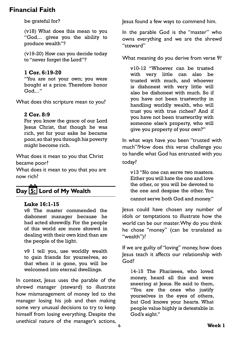be grateful for?

(v18) What does this mean to you "God… gives you the ability to produce wealth"?

(v19-20) How can you decide today to "never forget the Lord"?

### **1 Cor. 6:19-20**

"You are not your own; you were bought at a price. Therefore honor God…"

What does this scripture mean to you?

### **2 Cor. 8:9**

For you know the grace of our Lord Jesus Christ, that though he was rich, yet for your sake he became poor, so that you through his poverty might become rich.

What does it mean to you that Christ became poor?

What does it mean to you that you are now rich?

# **Day 5: Lord of My Wealth**

#### **Luke 16:1-15**

v8 The master commended the dishonest manager because he had acted shrewdly. For the people of this world are more shrewd in dealing with their own kind than are the people of the light.

v9 I tell you, use worldly wealth to gain friends for yourselves, so that when it is gone, you will be welcomed into eternal dwellings.

In context, Jesus uses the parable of the shrewd manager (steward) to illustrate how mismanagement of money led to the manager losing his job and then making some very unusual decisions to try to keep himself from losing everything. Despite the unethical nature of the manager's actions,

Jesus found a few ways to commend him.

In the parable God is the "master" who owns everything and we are the shrewd "steward"

What meaning do you derive from verse 9?

v10-12 "Whoever can be trusted with very little can also be trusted with much, and whoever is dishonest with very little will also be dishonest with much. So if you have not been trustworthy in handling worldly wealth, who will trust you with true riches? And if you have not been trustworthy with someone else's property, who will give you property of your own?"

In what ways have you been "trusted with much"?How does this verse challenge you to handle what God has entrusted with you today?

v13 "No one can serve two masters. Either you will hate the one and love the other, or you will be devoted to the one and despise the other. You cannot serve both God and money."

Jesus could have chosen any number of idols or temptations to illustrate how the world can be our master. Why do you think he chose "money" (can be translated as "wealth")?

If we are guilty of "loving" money, how does Jesus teach it affects our relationship with God?

14-15 The Pharisees, who loved money, heard all this and were sneering at Jesus. He said to them, "You are the ones who justify yourselves in the eyes of others, but God knows your hearts. What people value highly is detestable in God's sight."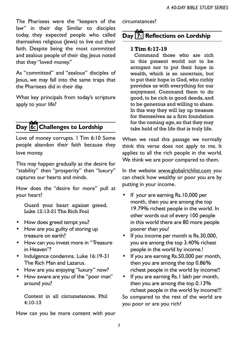The Pharisees were the "keepers of the law" in their day. Similar to disciples today, they expected people who called themselves religious (Jews) to live out their faith. Despite being the most committed and zealous people of their day, Jesus noted that they "loved money."

As "committed" and "zealous" disciples of Jesus, we may fall into the same traps that the Pharisees did in their day.

What key principals from today's scripture apply to your life?

## **Day 6: Challenges to Lordship**

Love of money corrupts. 1 Tim 6:10 Some people abandon their faith because they love money.

This may happen gradually as the desire for "stability" then "prosperity" then "luxury" captures our hearts and minds.

How does the "desire for more" pull at your heart?

Guard your heart against greed. Luke 12:13-21 The Rich Fool

- How does greed tempt you?
- How are you guilty of storing up treasure on earth?
- How can you invest more in "Treasure in Heaven"?
- Indulgence condemns. Luke 16:19-31 The Rich Man and Lazarus.
- How are you enjoying "luxury" now?
- How aware are you of the "poor man" around you?

Content in all circumstances. Phil 4:10-13

How can you be more content with your

circumstances?

# **Day 7: Reflections on Lordship**

#### **1 Tim 6:17-19**

 Command those who are rich in this present world not to be arrogant nor to put their hope in wealth, which is so uncertain, but to put their hope in God, who richly provides us with everything for our enjoyment. Command them to do good, to be rich in good deeds, and to be generous and willing to share. In this way they will lay up treasure for themselves as a firm foundation for the coming age, so that they may take hold of the life that is truly life.

When we read this passage we normally think this verse does not apply to me. It applies to all the rich people in the world. We think we are poor compared to them.

In the website www.globalrichlist.com you can check how wealthy or poor you are by putting in your income.

- If your are earning Rs.10,000 per month, then you are among the top 19.79% richest people in the world. In other words out of every 100 people in this world there are 80 more people poorer than you!
- If you income per month is Rs.30,000, you are among the top 3.40% richest people in the world by income.!
- If you are earning Rs.50,000 per month, then you are among the top 0.86% richest people in the world by income!!
- If you are earning Rs.1 lakh per month, then you are among the top 0.13% richest people in the world by income!!! So compared to the rest of the world are you poor or are you rich?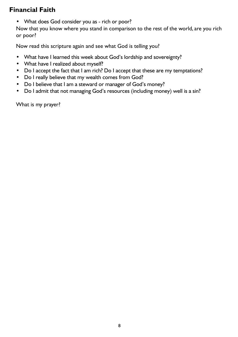• What does God consider you as - rich or poor?

Now that you know where you stand in comparison to the rest of the world, are you rich or poor?

Now read this scripture again and see what God is telling you?

- What have I learned this week about God's lordship and sovereignty?
- What have I realized about myself?
- Do I accept the fact that I am rich? Do I accept that these are my temptations?
- Do I really believe that my wealth comes from God?
- Do I believe that I am a steward or manager of God's money?
- Do I admit that not managing God's resources (including money) well is a sin?

What is my prayer?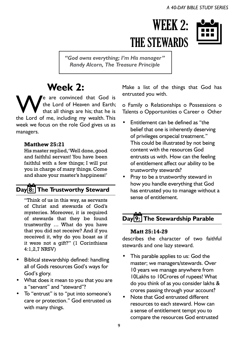# WEEK 2: THE STEWARDS



*"God owns everything; I'm His manager" Randy Alcorn, The Treasure Principle*

# **Week 2:**

We are convinced that God is the Lord of Heaven and Earth; that all things are his; that he is the Lord of me, including my wealth. This week we focus on the role God gives us as managers.

### **Matthew 25:21**

His master replied, 'Well done, good and faithful servant! You have been faithful with a few things; I will put you in charge of many things. Come and share your master's happiness!'

# **Day 8: The Trustworthy Steward**

"Think of us in this way, as servants of Christ and stewards of God's mysteries. Moreover, it is required of stewards that they be found trustworthy … What do you have that you did not receive? And if you received it, why do you boast as if it were not a gift?" (1 Corinthians 4:1,2,7 NRSV)

- Biblical stewardship defined: handling all of Gods resources God's ways for God's glory.
- • What does it mean to you that you are a "servant" and "steward"?
- • To "entrust" is to "put into someone's care or protection." God entrusted us with many things.

Make a list of the things that God has entrusted you with.

o Family o Relationships o Possessions o Talents o Opportunities o Career o Other

- Entitlement can be defined as "the belief that one is inherently deserving of privileges orspecial treatment." This could be illustrated by not being content with the resources God entrusts us with. How can the feeling of entitlement affect our ability to be trustworthy stewards?
- Pray to be a trustworthy steward in how you handle everything that God has entrusted you to manage without a sense of entitlement.

# **Day 9: The Stewardship Parable**

### **Matt 25:14-29**

describes the character of two faithful stewards and one lazy steward.

- This parable applies to us: God the master; we managers/stewards. Over 10 years we manage anywhere from 10Lakhs to 10Crores of rupees! What do you think of as you consider lakhs & crores passing through your account?
- Note that God entrusted different resources to each steward. How can a sense of entitlement tempt you to compare the resources God entrusted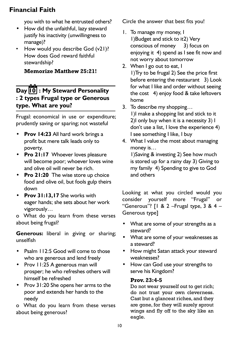you with to what he entrusted others?

- • How did the unfaithful, lazy steward justify his inactivity (unwillingness to manage)?
- How would you describe God (v21)? How does God reward faithful stewardship?

### **Memorize Matthew 25:21!**

# **Day 10 : My Steward Personality : 2 types Frugal type or Generous type. What are you?**

Frugal: economical in use or expenditure; prudently saving or sparing; not wasteful

- **Prov 14:23** All hard work brings a profit but mere talk leads only to poverty.
- • **Pro 21:17** Whoever loves pleasure will become poor; whoever loves wine and olive oil will never be rich.
- • **Pro 21:20** The wise store up choice food and olive oil, but fools gulp theirs down
- • **Prov 31:13,17** She works with eager hands; she sets about her work vigorously…

o What do you learn from these verses about being frugal?

**Generous:** liberal in giving or sharing; unselfish

- Psalm 112:5 Good will come to those who are generous and lend freely
- Prov 11:25 A generous man will prosper; he who refreshes others will himself be refreshed
- • Prov 31:20 She opens her arms to the poor and extends her hands to the needy

o What do you learn from these verses about being generous?

Circle the answer that best fits you!

- 1. To manage my money, I 1) Budget and stick to it2) Very conscious of money 3) focus on enjoying it 4) spend as I see fit now and not worry about tomorrow
- 2. When I go out to eat, I 1)Try to be frugal 2) See the price first before entering the restaurant 3) Look for what I like and order without seeing the cost 4) enjoy food & take leftovers home
- 3. To describe my shopping... 1)I make a shopping list and stick to it 2)I only buy when it is a necessity 3) I don't use a list, I love the experience 4) I see something I like, I buy
- 4. What I value the most about managing money is…

 1)Saving & investing 2) See how much is stored up for a rainy day 3) Giving to my family 4) Spending to give to God and others

Looking at what you circled would you consider yourself more "Frugal" or "Generous"?  $[1 \& 2 -$ Frugal type, 3 & 4 – Generous type]

- What are some of your strengths as a steward?
- What are some of your weaknesses as a steward?
- • How might Satan attack your steward weaknesses?
- • How can God use your strengths to serve his Kingdom?

### **Prov. 23:4-5**

Do not wear yourself out to get rich; do not trust your own cleverness. Cast but a glanceat riches, and they are gone, for they will surely sprout wings and fly off to the sky like an eagle.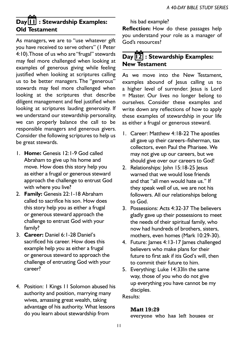# **Day 11 : Stewardship Examples: Old Testament**

As managers, we are to "use whatever gift you have received to serve others" (1 Peter 4:10). Those of us who are "frugal" stewards may feel more challenged when looking at examples of generous giving while feeling justified when looking at scriptures calling us to be better managers. The "generous" stewards may feel more challenged when looking at the scriptures that describe diligent management and feel justified when looking at scriptures lauding generosity. If we understand our stewardship personality, we can properly balance the call to be responsible managers and generous givers. Consider the following scriptures to help us be great stewards.

- 1. **Home:** Genesis 12:1-9 God called Abraham to give up his home and move. How does this story help you as either a frugal or generous steward approach the challenge to entrust God with where you live?
- 2. **Family:** Genesis 22:1-18 Abraham called to sacrifice his son. How does this story help you as either a frugal or generous steward approach the challenge to entrust God with your family?
- 3. **Career:** Daniel 6:1-28 Daniel's sacrificed his career. How does this example help you as either a frugal or generous steward to approach the challenge of entrusting God with your career?
- 4. Position: I Kings 11 Solomon abused his authority and position, marrying many wives, amassing great wealth, taking advantage of his authority. What lessons do you learn about stewardship from

his bad example?

**Reflection:** How do these passages help you understand your role as a manager of God's resources?

### **Day 12 : Stewardship Examples: New Testament**

As we move into the New Testament, examples abound of Jesus calling us to a higher level of surrender. Jesus is Lord = Master. Our lives no longer belong to ourselves. Consider these examples and write down any reflections of how to apply these examples of stewardship in your life as either a frugal or generous steward.

- 1. Career: Matthew 4:18-22 The apostles all gave up their careers–fisherman, tax collectors, even Paul the Pharisee. We may not give up our careers, but we should give over our careers to God!
- 2. Relationships: John 15:18-25 Jesus warned that we would lose friends and that "all men would hate us." If they speak well of us, we are not his followers. All our relationships belong to God.
- 3. Possessions: Acts 4:32-37 The believers gladly gave up their possessions to meet the needs of their spiritual family, who now had hundreds of brothers, sisters, mothers, even homes (Mark 10:29-30).
- 4. Future: lames 4:13-17 lames challenged believers who make plans for their future to first ask if itis God's will, then to commit their future to him.
- 5. Everything: Luke 14:33In the same way, those of you who do not give up everything you have cannot be my disciples.

Results:

#### **Matt 19:29**

everyone who has left houses or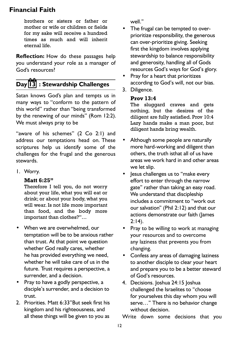brothers or sisters or father or mother or wife or children or fields for my sake will receive a hundred times as much and will inherit eternal life.

**Reflection:** How do these passages help you understand your role as a manager of God's resources?

# **Day 13 : Stewardship Challenges**

Satan knows God's plan and tempts us in many ways to "conform to the pattern of this world" rather than "being transformed by the renewing of our minds" (Rom 12:2). We must always pray to be

"aware of his schemes" (2 Co 2:1) and address our temptations head on. These scriptures help us identify some of the challenges for the frugal and the generous stewards.

1. Worry.

### **Matt 6:25"**

Therefore I tell you, do not worry about your life, what you will eat or drink; or about your body, what you will wear. Is not life more important than food, and the body more important than clothes?"…

- When we are overwhelmed, our temptation will be to be anxious rather than trust. At that point we question whether God really cares, whether he has provided everything we need, whether he will take care of us in the future. Trust requires a perspective, a surrender, and a decision.
- Pray to have a godly perspective, a disciple's surrender, and a decision to trust.
- 2. Priorities. Matt 6:33"But seek first his kingdom and his righteousness, and all these things will be given to you as

well."

- The frugal can be tempted to overprioritize responsibility, the generous can over-prioritize giving. Seeking first the kingdom involves applying stewardship to balance responsibility and generosity, handling all of Gods resources God's ways for God's glory.
- Pray for a heart that prioritizes according to God's will, not our bias.
- 3. Diligence.

### **Prov 13:4**

The sluggard craves and gets nothing, but the desires of the diligent are fully satisfied. Prov 10:4 Lazy hands make a man poor, but diligent hands bring wealth.

- Although some people are naturally more hard-working and diligent than others, the truth isthat all of us have areas we work hard in and other areas we let slip.
- • Jesus challenges us to "make every effort to enter through the narrow gate" rather than taking an easy road. We understand that discipleship includes a commitment to "work out our salvation" (Phil 2:12) and that our actions demonstrate our faith (James  $2:14$ ).
- Pray to be willing to work at managing your resources and to overcome any laziness that prevents you from changing.
- Confess any areas of damaging laziness to another disciple to clear your heart and prepare you to be a better steward of God's resources.
- 4. Decisions. Joshua 24:15 Joshua challenged the Israelites to "choose for yourselves this day whom you will serve…" There is no behavior change without decision.

Write down some decisions that you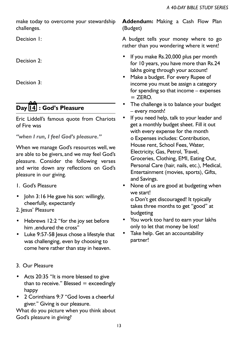make today to overcome your stewardship challenges.

Decision 1:

Decision 2:

Decision 3:

# **Day 14 : God's Pleasure**

Eric Liddell's famous quote from Chariots of Fire was

*"when I run, I feel God's pleasure."* 

When we manage God's resources well, we are able to be givers, and we may feel God's pleasure. Consider the following verses and write down any reflections on God's pleasure in our giving.

- 1. God's Pleasure
- John 3:16 He gave his son: willingly, cheerfully, expectantly

2. Jesus' Pleasure

- • Hebrews 12:2 "for the joy set before him ,endured the cross"
- • Luke 9:57-58 Jesus chose a lifestyle that was challenging, even by choosing to come here rather than stay in heaven.
- 3. Our Pleasure
- Acts 20:35 "It is more blessed to give than to receive." Blessed  $=$  exceedingly happy
- 2 Corinthians 9:7 "God loves a cheerful giver." Giving is our pleasure.

What do you picture when you think about God's pleasure in giving?

**Addendum:** Making a Cash Flow Plan (Budget)

A budget tells your money where to go rather than you wondering where it went!

- If you make Rs.20,000 plus per month for 10 years, you have more than Rs.24 lakhs going through your account!
- Make a budget. For every Rupee of income you must be assign a category for spending so that income – expenses  $=$  ZERO.
- The challenge is to balance your budget – every month!
- If you need help, talk to your leader and get a monthly budget sheet. Fill it out with every expense for the month o Expenses includes: Contribution, House rent, School Fees, Water, Electricity, Gas, Petrol, Travel, Groceries, Clothing, EMI, Eating Out, Personal Care (hair, nails, etc.), Medical, Entertainment (movies, sports), Gifts, and Savings.
- None of us are good at budgeting when we start!

o Don't get discouraged! It typically takes three months to get "good" at budgeting

- • You work too hard to earn your lakhs only to let that money be lost!
- Take help. Get an accountability partner!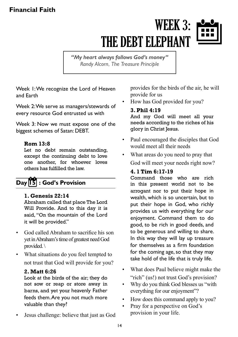# WEEK 3: THE DEBT ELEPHANT



*"My heart always follows God's money" Randy Alcorn, The Treasure Principle* 

Week 1: We recognize the Lord of Heaven and Earth

Week 2: We serve as managers/stewards of every resource God entrusted us with

Week 3: Now we must expose one of the biggest schemes of Satan: DEBT.

### **Rom 13:8**

Let no debt remain outstanding, except the continuing debt to love one another, for whoever loves others has fulfilled the law.

# **Day 15 : God's Provision**

### **1. Genesis 22:14**

Abraham called that place The Lord Will Provide. And to this day it is said, "On the mountain of the Lord it will be provided."

- God called Abraham to sacrifice his son yet in Abraham's time of greatest need God provided.\
- What situations do you feel tempted to not trust that God will provide for you?

### **2. Matt 6:26**

Look at the birds of the air; they do not sow or reap or store away in barns, and yet your heavenly Father feeds them. Are you not much more valuable than they?

Jesus challenge: believe that just as God

provides for the birds of the air, he will provide for us

How has God provided for you?

### **3. Phil 4:19**

And my God will meet all your needs according to the riches of his glory in Christ Jesus.

- Paul encouraged the disciples that God would meet all their needs
- What areas do you need to pray that God will meet your needs right now?

### **4. 1 Tim 6:17-19**

Command those who are rich in this present world not to be arrogant nor to put their hope in wealth, which is so uncertain, but to put their hope in God, who richly provides us with everything for our enjoyment. Command them to do good, to be rich in good deeds, and to be generous and willing to share. In this way they will lay up treasure for themselves as a firm foundation for the coming age, so that they may take hold of the life that is truly life.

- What does Paul believe might make the "rich" (us!) not trust God's provision?
- Why do you think God blesses us "with" everything for our enjoyment"?
- How does this command apply to you?
- Pray for a perspective on God's provision in your life.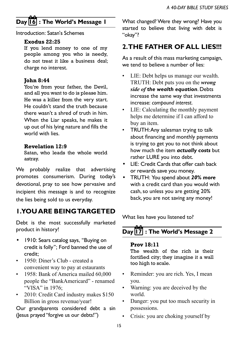# **Day 16 : The World's Message 1**

Introduction: Satan's Schemes

### **Exodus 22:25**

If you lend money to one of my people among you who is needy, do not treat it like a business deal; charge no interest.

### **John 8:44**

You're from your father, the Devil, and all you want to do is please him. He was a killer from the very start. He couldn't stand the truth because there wasn't a shred of truth in him. When the Liar speaks, he makes it up out of his lying nature and fills the world with lies.

### **Revelation 12:9**

Satan, who leads the whole world astray.

We probably realize that advertising promotes consumerism. During today's devotional, pray to see how pervasive and incipient this message is and to recognize the lies being sold to us everyday.

## **1. YOU ARE BEING TARGETED**

Debt is the most successfully marketed product in history!

- 1910: Sears catalog says, "Buying on credit is folly"; Ford banned the use of credit;
- 1950: Diner's Club created a convenient way to pay at estaurants
- 1958: Bank of America mailed 60,000 people the "BankAmericard" - renamed "VISA" in 1976:
- 2010: Credit Card industry makes \$150 Billion in gross revenue/year!

Our grandparents considered debt a sin (Jesus prayed "forgive us our debts!")

What changed? Were they wrong? Have you started to believe that living with debt is "okay"?

## **2. THE FATHER OF ALL LIFS!!!**

As a result of this mass marketing campaign, we tend to believe a number of lies:

- LIE: Debt helps us manage our wealth. TRUTH: Debt puts you on the *wrong side of the wealth equation*. Debts increase the same way that investments increase: *compound interest*.
- • LIE: Calculating the monthly payment helps me determine if I can afford to buy an item.
- TRUTH: Any salesman trying to talk about financing and monthly payments is trying to get you to not think about how much the item *actually costs* but rather LURE you into debt.
- LIE: Credit Cards that offer cash back or rewards save you money.
- TRUTH: You spend about 20% more with a credit card than you would with cash, so unless you are getting 20% back, you are not saving any money!

What lies have you listened to?

# **Day 17 : The World's Message 2**

### **Prov 18:11**

The wealth of the rich is their fortified city; they imagine it a wall too high to scale.

- Reminder: you are rich. Yes, I mean you.
- Warning: you are deceived by the world.
- Danger: you put too much security in possessions.
- Crisis: you are choking yourself by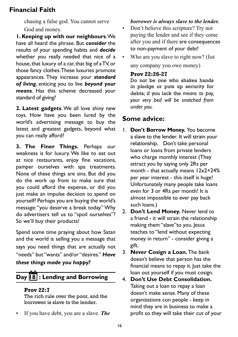chasing a false god. You cannot serve God and money.

**1. Keeping up with our neighbours**. We have all heard the phrase. But *consider* the results of your spending habits and *decide* whether you really needed that nice of a house, that luxury of a car, that big of a TV, or those fancy clothes. These luxuries promote appearances. They increase your *standard of living*, enticing you to live *beyond your means*. Has this scheme decreased your standard of giving?

**2. Latest gadgets**. We all love shiny new toys. How have you been lured by the world's advertising message to buy the latest and greatest gadgets, beyond what you can really afford?

**3. The Finer Things.** Perhaps our weakness is for luxury. We like to eat out at nice restaurants, enjoy fine vacations, pamper ourselves with spa treatments. None of these things are sins. But did you do the work up front to make sure that you could afford the expense, or did you just make an impulse decision to spend on yourself? Perhaps you are buying the world's message: "you deserve a break today." Why do advertisers tell us to "spoil ourselves"? So we'll buy their products!

Spend some time praying about how Satan and the world is selling you a message that says you need things that are actually not "needs" but "wants" and/or "desires." *Have* 

*these things made you happy?* 

# **Day 18 : Lending and Borrowing**

### **Prov 22:7**

The rich rule over the poor, and the borrower is slave to the lender.

If you have debt, you are a slave. **The** 

## *borrower is always slave to the lender.*

- Don't believe this scripture? Try not paying the lender and see if they come after you and if there are consequences to non-payment of your debt!
- Who are you slave to right now? (list any company you owe money)

### **Prov 22:26-27**

Do not be one who shakes hands in pledge or puts up security for debts; if you lack the *means to pay, your very bed will be snatched from under you.*

# **Some advice:**

- 1. **Don't Borrow Money.** You become a slave to the lender. It will strain your relationship. Don't take personal loans or loans from private lenders who charge monthly interest (They attract you by saying only 2Rs per month - that actually means 12x2+24% per year interest - this itself is huge! Unfortunately many people take loans even for 3 or 4Rs per month! It is almost impossible to ever pay back such loans.)
- 2. **Don't Lend Money.** Never lend to a friend - it will strain the relationship making them "slave"to you. Jesus teaches to "lend without expecting money in return" - consider giving a gift.
- 3. **Never Cosign a Loan.** The bank doesn't believe that person has the financial means to repay it. Just take the loan out yourself if you must cosign.
- 4. **Don't Use Debt Consolidation.** Taking out a loan to repay a loan doesn't make sense. Many of these organizations con people - keep in mind they are in business to make a profit so they will take their cut of your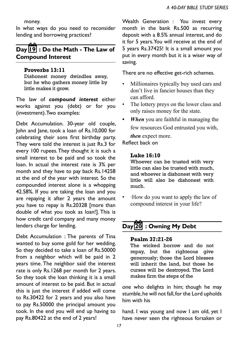money.

In what ways do you need to reconsider lending and borrowing practices?

### **Day 19 : Do the Math - The Law of Compound Interest**

#### **Proverbs 13:11**

Dishonest money dwindles away, but he who gathers money little by little makes it grow.

The law of *compound interest* either works against you (debt) or for you (investment). Two examples:

Debt Accumulation. 30-year old couple, John and Jane, took a loan of Rs.10,000 for celebrating their sons first birthday party. They were told the interest is just Rs.3 for every 100 rupees. They thought it is such a small interest to be paid and so took the loan. In actual the interest rate is 3% per month and they have to pay back Rs.14258 at the end of the year with interest. So the compounded interest alone is a whopping 42.58%. If you are taking the loan and you are repaying it after 2 years the amount you have to repay is Rs.20328 [more than double of what you took as loan!]. This is how credit card company and many money lenders charge for lending.

Debt Accumulation : The parents of Tina wanted to buy some gold for her wedding. So they decided to take a loan of Rs.50000 from a neighbor which will be paid in 2 years time. The neighbor said the interest rate is only Rs.1268 per month for 2 years. So they took the loan thinking it is a small amount of interest to be paid. But in actual this is just the interest if added will come to Rs.30422 for 2 years and you also have to pay Rs.50000 the principal amount you took. In the end you will end up having to pay Rs.80422 at the end of 2 years!

Wealth Generation : You invest every month in the bank Rs.500 as recurring deposit with a 8.5% annual interest, and do it for 5 years. You will receive at the end of 5 years Rs.37425! It is a small amount you put in every month but it is a wiser way of saving.

There are no effective get-rich schemes.

- Millionaires typically buy used cars and don't live in fancier houses than they can afford.
- The lottery preys on the lower class and only raises money for the state.
- *When* you are faithful in managing the few resources God entrusted you with, *then* expect more.

Reflect back on

#### **Luke 16:10**

Whoever can be trusted with very little can also be trusted with much, and whoever is dishonest with very little will also be dishonest with much.

• ·How do you want to apply the law of compound interest in your life?

# **Day 20 : Owning My Debt**

#### **Psalm 37:21-26**

The wicked borrow and do not repay, but the righteous give generously; those the Lord blesses will inherit the land, but those he curses will be destroyed. The Lord makes firm the steps of the

one who delights in him; though he may stumble, he will not fall, for the Lord upholds him with his

hand. I was young and now I am old, yet I have never seen the righteous forsaken or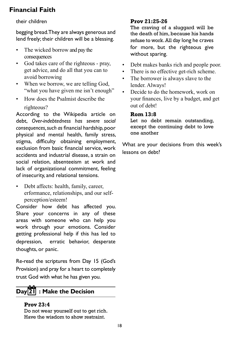### their children

begging bread. They are always generous and lend freely; their children will be a blessing.

- The wicked borrow and pay the consequences
- God takes care of the righteous pray, get advice, and do all that you can to avoid borrowing
- When we borrow, we are telling God, "what you have given me isn't enough"
- **EXECUTE:** How does the Psalmist describe the righteous?

According to the Wikipedia article on debt, *Over-indebtedness has severe social consequences, such as* financial hardship, poor physical and mental health, family stress, stigma, difficulty obtaining employment, exclusion from basic financial service, work accidents and industrial disease, a strain on social relation, absenteeism at work and lack of organizational commitment, feeling of insecurity, and relational tensions.

Debt affects: health, family, career, erformance, relationships, and our selfperception/esteem!

Consider how debt has affected you. Share your concerns in any of these areas with someone who can help you work through your emotions. Consider getting professional help if this has led to depression, erratic behavior, desperate thoughts, or panic.

Re-read the scriptures from Day 15 (God's Provision) and pray for a heart to completely trust God with what he has given you.

## **Day 21 : Make the Decision**

#### **Prov 23:4**

Do not wear yourself out to get rich. Have the wisdom to show restraint.

### **Prov 21:25-26**

The craving of a sluggard will be the death of him, because his hands refuse to work. All day long he craves for more, but the righteous give without sparing.

- Debt makes banks rich and people poor.
- There is no effective get-rich scheme.
- The borrower is always slave to the lender. Always!
- Decide to do the homework, work on your finances, live by a budget, and get out of debt!

### **Rom 13:8**

Let no debt remain outstanding, except the continuing debt to love one another

What are your decisions from this week's lessons on debt?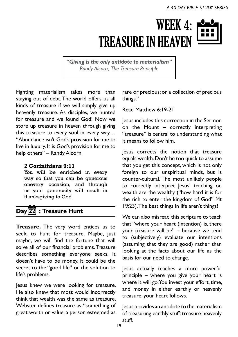# WEEK 4: TREASURE IN HEAVEN

*"Giving is the only antidote to materialism" Randy Alcorn, The Treasure Principle*

Fighting materialism takes more than staying out of debt. The world offers us all kinds of treasure if we will simply give up heavenly treasure. As disciples, we hunted for treasure and we found God! Now we store up treasure in heaven through giving this treasure to every soul in every way… "Abundance isn't God's provision for me to live in luxury. It is God's provision for me to help others" – Randy Alcorn

### **2 Corinthians 9:11**

You will be enriched in every way so that you can be generous onevery occasion, and through us your generosity will result in thanksgiving to God.

# **Day 22 : Treasure Hunt**

**Treasure.** The very word entices us to seek, to hunt for treasure. Maybe, just maybe, we will find the fortune that will solve all of our financial problems. Treasure describes something everyone seeks. It doesn't have to be money. It could be the secret to the "good life" or the solution to life's problems.

Jesus knew we were looking for treasure. He also knew that most would incorrectly think that wealth was the same as treasure. Webster defines treasure as: "something of great worth or value; a person esteemed as

rare or precious; or a collection of precious things."

Read Matthew 6:19-21

Jesus includes this correction in the Sermon on the Mount – correctly interpreting "treasure" is central to understanding what it means to follow him.

Jesus corrects the notion that treasure equals wealth. Don't be too quick to assume that you get this concept, which is not only foreign to our unspiritual minds, but is counter-cultural. The most unlikely people to correctly interpret Jesus' teaching on wealth are the wealthy ("how hard it is for the rich to enter the kingdom of God" Mt 19:23). The best things in life aren't things!

We can also misread this scripture to teach that "where your heart (intention) is, there your treasure will be" – because we tend to (subjectively) evaluate our intentions (assuming that they are good) rather than looking at the facts about our life as the basis for our need to change.

Jesus actually teaches a more powerful principle – where you give your heart is where it will go. You invest your effort, time, and money in either earthly or heavenly treasure; your heart follows.

Jesus provides an antidote to the materialism of treasuring earthly stuff: treasure heavenly stuff.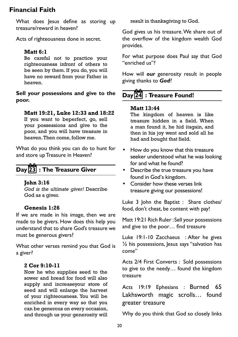What does lesus define as storing up treasure/reward in heaven?

Acts of righteousness done in secret.

### **Matt 6:1**

Be careful not to practice your righteousness infront of others to be seen by them. If you do, you will have no reward from your Father in heaven.

**Sell your possessions and give to the poor.** 

### **Matt 19:21, Luke 12:33 and 18:22**

If you want to beperfect, go, sell your possessions and give to the poor, and you will have treasure in heaven. Then come, follow me.

What do you think you can do to hunt for and store up Treasure in Heaven?

# **Day 23 : The Treasure Giver**

### **John 3:16**

*God is the ultimate giver!* Describe God as a giver.

### **Genesis 1:26**

If we are made in his image, then we are made to be givers. How does this help you understand that to share God's treasure we must be generous givers?

What other verses remind you that God is a giver?

### **2 Cor 9:10-11**

Now he who supplies seed to the sower and bread for food will also supply and increaseyour store of seed and will enlarge the harvest of your righteousness. You will be enriched in every way so that you can be generous on every occasion, and through us your generosity will

result in thanksgiving to God.

God gives us his treasure. We share out of the overflow of the kingdom wealth God provides.

For what purpose does Paul say that God "enriched us"?

How will *our* generosity result in people giving thanks to *God*?

# **Day 24 : Treasure Found!**

### **Matt 13:44**

The kingdom of heaven is like treasure hidden in a field. When a man found it, he hid itagain, and then in his joy went and sold all he had and bought that field.

- How do you know that this treasure seeker understood what he was looking for and what he found?
- • Describe the true treasure you have found in God's kingdom.
- • Consider how these verses link treasure giving our possessions!

Luke 3 John the Baptist : Share clothes/ food, don't cheat, be content with pay!

Matt 19:21 Rich Ruler : Sell your possessions and give to the poor… find treasure

Luke 19:1-10 Zacchaeus : After he gives  $\frac{1}{2}$  his possessions, Jesus says "salvation has come"

Acts 2/4 First Converts : Sold possessions to give to the needy… found the kingdom treasure

Acts 19:19 Ephesians : Burned 65 Lakhsworth magic scrolls… found greater treasure

Why do you think that God so closely links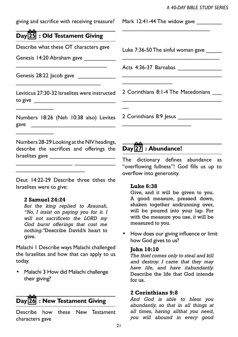giving and sacrifice with receiving treasure?

# **Day 25 : Old Testament Giving**

Describe what these OT characters gave

\_\_\_\_\_\_\_\_\_\_\_\_\_\_\_\_\_\_\_\_\_\_\_\_\_\_\_\_\_

\_\_\_\_\_\_\_\_\_\_\_\_\_\_\_\_\_\_\_\_\_\_\_\_\_\_\_

Genesis 14:20 Abraham gave

Genesis 28:22 Jacob gave

\_\_\_\_\_\_\_\_\_\_\_\_

\_\_\_\_\_\_\_\_\_\_\_\_

Leviticus 27:30-32 Israelites were instructed to give  $\sqrt{2}$ 

Numbers 18:26 (Neh 10:38 also) Levites gave  $\qquad \qquad$ 

Numbers 28-29 Looking at the NIV headings, describe the sacrifices and offerings the Israelites gave \_\_\_\_\_\_\_\_\_\_\_\_\_\_\_\_\_\_\_\_\_

\_\_\_\_\_\_\_\_\_\_\_\_\_\_\_\_\_\_ \_\_\_\_\_\_\_\_\_\_\_\_\_

Deut 14:22-29 Describe three tithes the Israelites were to give:

### **2 Samuel 24:24**

\_\_\_\_\_\_\_\_\_\_\_\_\_\_\_\_\_\_\_\_\_\_

*But the king replied to Araunah, "No, I insist on paying you for it. I will not sacrificeto the LORD my God burnt offerings that cost me nothing."*Describe David's heart to give.

Malachi 1 Describe ways Malachi challenged the Israelites and how that can apply to us today.

• Malachi 3 How did Malachi challenge their giving?

# **Day 26 : New Testament Giving**

Describe how these New Testament characters gave

Mark 12:41-44 The widow gave

Luke 7:36-50 The sinful woman gave

\_\_\_\_\_\_\_\_\_\_\_\_\_\_\_\_\_\_\_\_\_\_\_\_\_\_\_\_\_\_\_

\_\_\_\_\_\_\_\_\_\_\_\_\_\_\_\_\_\_\_\_\_\_\_\_\_\_\_\_\_\_\_

\_\_\_\_\_\_\_\_\_\_\_\_\_\_\_\_\_\_\_\_\_\_\_\_\_\_\_\_

Acts 4:36-37 Barnabas

\_\_\_\_\_\_\_\_\_\_\_\_\_\_\_\_

 $\overline{\phantom{a}}$ 

2 Corinthians 8:1-4 The Macedonians \_\_\_\_\_\_\_\_\_\_\_\_\_\_\_\_\_\_\_\_\_\_\_\_\_\_\_\_\_\_\_

2 Corinthians 8:9 Jesus \_\_\_\_\_\_\_\_\_\_\_\_\_\_

\_\_\_\_\_\_\_\_\_\_\_\_\_\_\_\_\_\_\_\_\_\_

# **Day 27 : Abundance!**

The dictionary defines abundance as "overflowing fullness"! God fills us up to overflow into generosity.

#### **Luke 6:38**

Give, and it will be given to you. A good measure, pressed down, shaken together andrunning over, will be poured into your lap. For with the measure you use, it will be measured to you.

How does our giving influence or limit how God gives to us?

### **John 10:10**

*The thief comes only to steal and kill and destroy. I came that they may have life, and have itabundantly.*  Describe the life that God intends  $for$   $ue$ .

### **2 Corinthians 9:8**

*And God is able to bless you abundantly, so that in all things at all times, having allthat you need, you will abound in every good*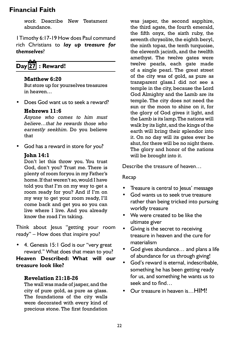*work.* Describe New Testament abundance.

1 Timothy 6:17-19 How does Paul command rich Christians to *lay up treasure for themselves*?

# **Day 27 : Reward!**

### **Matthew 6:20**

But store up for yourselves treasures in heaven…

• Does God want us to seek a reward?

### **Hebrews 11:6**

*Anyone who comes to him must believe…that he rewards those who earnestly seekhim.* Do you believe that

• God has a reward in store for you?

### **John 14:1**

Don't let this throw you. You trust God, don't you? Trust me. There is plenty of room foryou in my Father's home. If that weren't so, would I have told you that I'm on my way to get a room ready for you? And if I'm on my way to get your room ready, I'll come back and get you so you can live where I live. And you already know the road I'm taking.

Think about Jesus "getting your room ready" – How does that inspire you?

• 4. Genesis 15:1 God is our "very great reward." What does that mean to you?

**Heaven Described: What will our treasure look like?**

### **Revelation 21:18-26**

The wall was made of jasper, and the city of pure gold, as pure as glass. The foundations of the city walls were decorated with every kind of precious stone. The first foundation

was jasper, the second sapphire, the third agate, the fourth emerald, the fifth onyx, the sixth ruby, the seventh chrysolite, the eighth beryl, the ninth topaz, the tenth turquoise. the eleventh jacinth, and the twelfth amethyst. The twelve gates were twelve pearls, each gate made of a single pearl. The great street of the city was of gold, as pure as transparent glass.I did not see a temple in the city, because the Lord God Almighty and the Lamb are its temple. The city does not need the sun or the moon to shine on it, for the glory of God gives it light, and the Lamb is its lamp. The nations will walk by its light, and the kings of the earth will bring their splendor into it. On no day will its gates ever be shut, for there will be no night there. The glory and honor of the nations will be brought into it.

Describe the treasure of heaven…

### Recap

- • Treasure is central to Jesus' message
- • God wants us to seek true treasure rather than being tricked into pursuing worldly treasure
- • We were created to be like the ultimate giver
- • Giving is the secret to receiving treasure in heaven and the cure for materialism
- God gives abundance... and plans a life of abundance for us through giving!
- • God's reward is eternal, indescribable, something he has been getting ready for us, and something he wants us to seek and to find…
- Our treasure in heaven is HIM!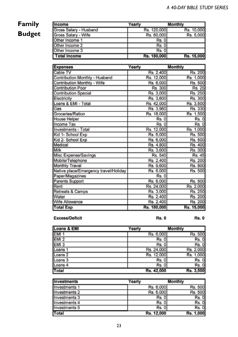# **Family Budget**

| <b>Income</b>          | Yearly      | Monthly    |
|------------------------|-------------|------------|
| Gross Salary - Husband | Rs. 120,000 | Rs. 10,000 |
| Gross Salary - Wife    | Rs. 60,000  | Rs. 5,000  |
| Other Income 1         | Rs. 0       |            |
| Other Income 2         | Rs. 0       |            |
| Other Income 3         | Rs. 0       |            |
| <b>Total Income</b>    | Rs. 180,000 | Rs. 15,000 |

| <b>Expenses</b>                       | Yearly      | Monthly    |
|---------------------------------------|-------------|------------|
| Cable TV                              | Rs. 2,400   | Rs. 200    |
| Contribution Monthly - Husband        | Rs. 12,000  | Rs. 1,000  |
| Contribution Monthly - Wife           | Rs. 6,000   | Rs. 500    |
| Contribution Poor                     | Rs. 300     | Rs. 25     |
| <b>Contribution Special</b>           | Rs. 3,000   | Rs. 250    |
| Electricity                           | Rs. 3,600   | Rs. 300    |
| Loans & EMI - Total                   | Rs. 42,000  | Rs. 3,500  |
| Gas                                   | Rs. 3,960   | Rs. 330    |
| Groceries/Ration                      | Rs. 18,000  | Rs. 1,500  |
| <b>House Helper</b>                   | Rs.0        | Rs. 0      |
| Income Tax                            | Rs. 0       | Rs. 0      |
| Investments - Total                   | Rs. 12,000  | Rs. 1.000  |
| Kid 1- School Exp                     | Rs. 6,000   | Rs. 500    |
| Kid 2- School Exp                     | Rs. 6,000   | Rs. 500    |
| Medical                               | Rs. 4,800   | Rs. 400    |
| Milk                                  | Rs. 3,600   | Rs. 300    |
| Misc Expense/Savings                  | Rs. 540     | Rs. 45     |
| Mobile/Telephone                      | Rs. 2.400   | Rs. 200    |
| Monthly Travel                        | Rs. 9,600   | Rs. 800    |
| Native place/Emergency travel/Holiday | Rs. 6,000   | Rs. 500    |
| Paper/Magazines                       | Rs. 0       |            |
| Parents Support                       | Rs. 6,000   | Rs. 500    |
| Rent                                  | Rs. 24,000  | Rs. 2,000  |
| Retreats & Camps                      | Rs. 3,000   | Rs. 250    |
| Water                                 | Rs. 2.400   | Rs. 200    |
| Wife Allowance                        | Rs. 2,400   | Rs. 200    |
| <b>Total Exp</b>                      | Rs. 180,000 | Rs. 15,000 |

### **Excess/Deficit**

**Rs. 0** 

**Rs. 0** 

| Loans & EMI        | Yearly     | <b>Monthly</b> |
|--------------------|------------|----------------|
| EMI <sub>1</sub>   | Rs. 6,000  | Rs. 500        |
| EMI <sub>2</sub>   | Rs. 0      | Rs. 0          |
| EMI <sub>3</sub>   | Rs. 0      | Rs. 0          |
| Loans 1            | Rs. 24,000 | Rs. 2,000      |
| Loans <sub>2</sub> | Rs. 12,000 | Rs. 1,000      |
| Loans 3            | Rs. 0      | Rs. 0          |
| Loans 4            | Rs. 0      | Rs. 0          |
| Total              | Rs. 42,000 | Rs. 3,500      |

| <b>Investments</b>       | Yearly     | Monthly   |
|--------------------------|------------|-----------|
| Investments 1            | Rs. 6,000  | Rs. 500   |
| Investments <sub>2</sub> | Rs. 6,000  | Rs. 500   |
| Investments 3            | Rs. 0      | Rs. 0     |
| Investments 4            | Rs. 01     | Rs. 0     |
| Investments 5            | Rs. 0      | Rs. 0     |
| Total                    | Rs. 12,000 | Rs. 1,000 |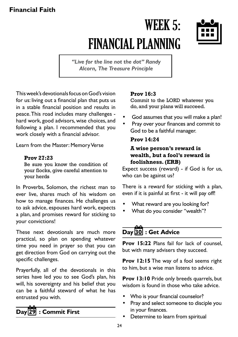# WEEK 5: FINANCIAL PLANNING



*"Live for the line not the dot" Randy Alcorn, The Treasure Principle* 

This week's devotionals focus on God's vision for us: living out a financial plan that puts us in a stable financial position and results in peace. This road includes many challenges hard work, good advisors, wise choices, and following a plan. I recommended that you work closely with a financial advisor.

Learn from the Master: Memory Verse

### **Prov 27:23**

Be sure you know the condition of your flocks, give careful attention to your herds

In Proverbs, Solomon, the richest man to ever live, shares much of his wisdom on how to manage finances. He challenges us to ask advice, espouses hard work, expects a plan, and promises reward for sticking to your convictions!

These next devotionals are much more practical, so plan on spending whatever time you need in prayer so that you can get direction from God on carrying out the specific challenges.

Prayerfully, all of the devotionals in this series have led you to see God's plan, his will, his sovereignty and his belief that you can be a faithful steward of what he has entrusted you with.

# **Day 29 : Commit First**

### **Prov 16:3**

Commit to the LORD whatever you do, and your plans will succeed.

- God assumes that you will make a plan!
- Pray over your finances and commit to God to be a faithful manager.

### **Prov 14:24**

### **A wise person's reward is wealth, but a fool's reward is foolishness. (ERB)**

Expect success (reward) - if God is for us, who can be against us?

There is a reward for sticking with a plan, even if it is painful at first - it will pay off!

- What reward are you looking for?
- What do you consider "wealth"?

# **Day 30 : Get Advice**

Prov 15:22 Plans fail for lack of counsel, but with many advisers they succeed.

**Prov 12:15** The way of a fool seems right to him, but a wise man listens to advice.

**Prov 13:10** Pride only breeds quarrels, but wisdom is found in those who take advice.

- Who is your financial counselor?
- Pray and select someone to disciple you in your finances.
- Determine to learn from spiritual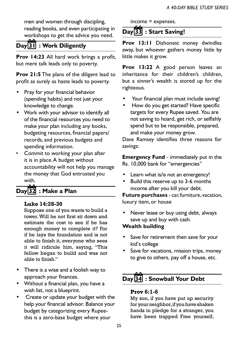men and women through discipling, reading books, and even participating in workshops to get the advice you need.

### **Day 31 : Work Diligently**

**Prov 14:23** All hard work brings a profit, but mere talk leads only to poverty.

**Prov 21:5** The plans of the diligent lead to profit as surely as haste leads to poverty.

- Pray for your financial behavior (spending habits) and not just your knowledge to change.
- • Work with your advisor to identify all of the financial resources you need to make your plan including any books, budgeting resources, financial papers/ records, and previous budgets and spending information.
- Commit to working your plan after it is in place. A budget without accountability will not help you manage the money that God entrusted you with.

# **Day 32 : Make a Plan**

### **Luke 14:28-30**

Suppose one of you wants to build a tower. Will he not first sit down and estimate the cost to see if he has enough money to complete it? For if he lays the foundation and is not able to finish it, everyone who sees it will ridicule him, saying, "This fellow began to build and was not able to finish."

- • There is a wise and a foolish way to approach your finances.
- • Without a financial plan, you have a wish list, not a blueprint.
- • Create or update your budget with the help your financial advisor. Balance your budget by categorizing every Rupeethis is a zero-base budget where your

income = expenses.

### **Day 33 : Start Saving!**

**Prov 13:11** Dishonest money dwindles away, but whoever gathers money little by little makes it grow.

**Prov 13:22** A good person leaves an inheritance for their children's children, but a sinner's wealth is stored up for the righteous.

- Your financial plan must include saving!
- How do you get started? Have specific targets for every Rupee saved. You are not saving to hoard, get rich, or selfishly spend but to be responsible, prepared, and make your money grow.

Dave Ramsey identifies three reasons for savings:

**Emergency Fund** - immediately put in the Rs. 10,000 bank for "emergencies"

- Learn what is/is not an emergency!
- Build this reserve up to 3-6 months income after you kill your debt.

**Future purchases** - car, furniture, vacation, luxury item, or house

Never lease or buy using debt, always save up and buy with cash.

### **Wealth building**

- Save for retirement then save for your kid's college
- Save for vacations, mission trips, money to give to others, pay off a house, etc.

# **Day 34 : Snowball Your Debt**

### **Prov 6:1-6**

My son, if you have put up security for your neighbor, if you have shaken hands in pledge for a stranger, you have been trapped Free yourself,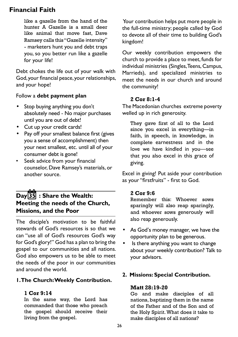like a gazelle from the hand of the hunter A Gazelle is a small deer like animal that move fast, Dave Ramsey calls this "Gazelle intensity" - marketers hunt you and debt traps you, so you better run like a gazelle for your life!

Debt chokes the life out of your walk with God, your financial peace, your relationships, and your hope!

### Follow a **debt payment plan**

- Stop buying anything you don't absolutely need - No major purchases until you are out of debt!
- • Cut up your credit cards!
- Pay off your smallest balance first (gives you a sense of accomplishment) then your next smallest, etc. until all of your consumer debt is gone!
- Seek advice from your financial counselor, Dave Ramsey's materials, or another source.

### **Day 35 : Share the Wealth: Meeting the needs of the Church, Missions, and the Poor**

The disciple's motivation to be faithful stewards of God's resources is so that we can "use all of God's resources God's way for God's glory!" God has a plan to bring the gospel to our communities and all nations. God also empowers us to be able to meet the needs of the poor in our communities and around the world.

### **1. The Church: Weekly Contribution.**

### **1 Cor 9:14**

In the same way, the Lord has commanded that those who preach the gospel should receive their living from the gospel.

 Your contribution helps put more people in the full-time ministry; people called by God to devote all of their time to building God's kingdom!

Our weekly contribution empowers the church to provide a place to meet, funds for individual ministries (Singles, Teens, Campus, Marrieds), and specialized ministries to meet the needs in our church and around the community!

### **2 Cor 8:1-4**

The Macedonian churches extreme poverty welled up in rich generosity.

They gave first of all to the Lord since you excel in everything—in faith, in speech, in knowledge, in complete earnestness and in the love we have kindled in you—see that you also excel in this grace of giving.

Excel in giving! Put aside your contribution as your "firstfruits" - first to God.

### **2 Cor 9:6**

Remember this: Whoever sows sparingly will also reap sparingly, and whoever sows generously will also reap generously.

- As God's money manager, we have the opportunity plan to be generous.
- Is there anything you want to change about your weekly contribution? Talk to your advisors.

### **2. Missions: Special Contribution.**

### **Matt 28:19-20**

Go and make disciples of all nations, baptizing them in the name of the Father and of the Son and of the Holy Spirit. What does it take to make disciples of all nations?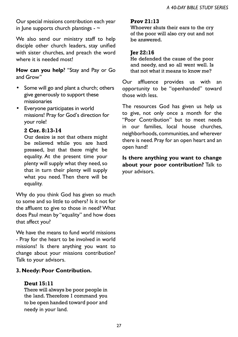Our special missions contribution each year in June supports church plantings -  $\sim$ 

We also send our ministry staff to help disciple other church leaders, stay unified with sister churches, and preach the word where it is needed most!

**How can you help**? "Stay and Pay or Go and Grow"

- Some will go and plant a church; others give generously to support these missionaries
- • Everyone participates in world missions! Pray for God's direction for your role!

### **2 Cor. 8:13-14**

Our desire is not that others might be relieved while you are hard pressed, but that there might be equality. At the present time your plenty will supply what they need, so that in turn their plenty will supply what you need. Then there will be equality.

Why do you think God has given so much to some and so little to others? Is it not for the affluent to give to those in need? What does Paul mean by "equality" and how does that affect you?

We have the means to fund world missions - Pray for the heart to be involved in world missions! Is there anything you want to change about your missions contribution? Talk to your advisors.

### **3. Needy: Poor Contribution.**

### **Deut 15:11**

There will always be poor people in the land. Therefore I command you to be open handed toward poor and needy in your land.

### **Prov 21:13**

Whoever shuts their ears to the cry of the poor will also cry out and not be answered.

### **Jer 22:16**

He defended the cause of the poor and needy, and so all went well. Is that not what it means to know me?

Our affluence provides us with an opportunity to be "openhanded" toward those with less.

The resources God has given us help us to give, not only once a month for the "Poor Contribution" but to meet needs in our families, local house churches, neighborhoods, communities, and wherever there is need. Pray for an open heart and an open hand!

**Is there anything you want to change about your poor contribution?** Talk to your advisors.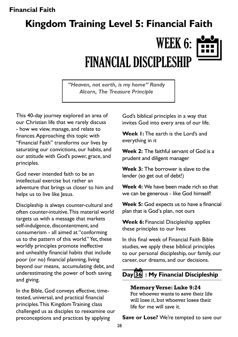# WEEK 6: FINANCIAL DISCIPLESHIP **Kingdom Training Level 5: Financial Faith**

*"Heaven, not earth, is my home" Randy Alcorn, The Treasure Principle* 

This 40-day journey explored an area of our Christian life that we rarely discuss - how we view, manage, and relate to finances. Approaching this topic with "Financial Faith" transforms our lives by saturating our convictions, our habits, and our attitude with God's power, grace, and principles.

God never intended faith to be an intellectual exercise but rather an adventure that brings us closer to him and helps us to live like Jesus.

Discipleship is always counter-cultural and often counter-intuitive. This material world targets us with a message that markets self-indulgence, discontentment, and consumerism - all aimed at "conforming us to the pattern of this world." Yet, these worldly principles promote ineffective and unhealthy financial habits that include poor (or no) financial planning, living beyond our means, accumulating debt, and underestimating the power of both saving and giving.

In the Bible, God conveys effective, timetested, universal, and practical financial principles. This Kingdom Training class challenged us as disciples to reexamine our preconceptions and practices by applying

God's biblical principles in a way that invites God into every area of our life.

**Week 1:** The earth is the Lord's and everything in it

**Week 2:** The faithful servant of God is a prudent and diligent manager

**Week 3:** The borrower is slave to the lender (so get out of debt!)

**Week 4:** We have been made rich so that we can be generous - like God himself!

**Week 5:** God expects us to have a financial plan that is God's plan, not ours

**Week 6:** Financial Discipleship applies these principles to our lives

In this final week of Financial Faith Bible studies, we apply these biblical principles to our personal discipleship, our family, our career, our dreams, and our decisions.

# **Day 36 : My Financial Discipleship**

**Memory Verse: Luke 9:24**  For whoever wants to save their life will lose it, but whoever loses their life for me will save it.

**Save or Lose?** We're tempted to save our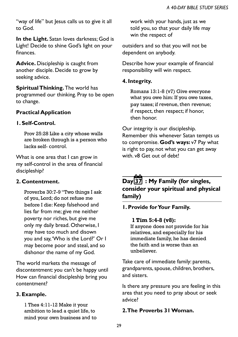"way of life" but Jesus calls us to give it all to God.

**In the Light.** Satan loves darkness; God is Light! Decide to shine God's light on your finances.

**Advice.** Discipleship is caught from another disciple. Decide to grow by seeking advice.

**Spiritual Thinking.** The world has programmed our thinking. Pray to be open to change.

### **Practical Application**

### **1. Self-Control.**

Prov 25:28 Like a city whose walls are broken through is a person who lacks self- control.

What is one area that I can grow in my self-control in the area of financial discipleship?

### **2. Contentment.**

Proverbs 30:7-9 "Two things I ask of you, Lord; do not refuse me before I die: Keep falsehood and lies far from me; give me neither poverty nor riches, but give me only my daily bread. Otherwise, I may have too much and disown you and say, 'Who is the Lord?' Or I may become poor and steal, and so dishonor the name of my God.

The world markets the message of discontentment: you can't be happy until How can financial discipleship bring you contentment?

### **3. Example.**

1 Thes 4:11-12 Make it your ambition to lead a quiet life, to mind your own business and to

work with your hands, just as we told you, so that your daily life may win the respect of

outsiders and so that you will not be dependent on anybody.

Describe how your example of financial responsibility will win respect.

### **4. Integrity.**

Romans 13:1-8 (v7) Give everyone what you owe him: If you owe taxes, pay taxes; if revenue, then revenue; if respect, then respect; if honor, then honor.

Our integrity is our discipleship. Remember this whenever Satan tempts us to compromise. **God's ways:** v7 Pay what is right to pay, not what you can get away with. v8 Get out of debt!

## **Day 37 : My Family (for singles, consider your spiritual and physical family)**

**1. Provide for Your Family.**

### **1 Tim 5:4-8 (v8):**

If anyone does not provide for his relatives, and especially for his immediate family, he has denied the faith and is worse than an unbeliever.

Take care of immediate family: parents, grandparents, spouse, children, brothers, and sisters.

Is there any pressure you are feeling in this area that you need to pray about or seek advice?

### **2. The Proverbs 31 Woman.**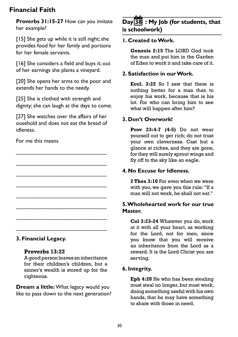**Proverbs 31:15-27** How can you imitate her example?

[15] She gets up while it is still night; she provides food for her family and portions for her female servants.

[16] She considers a field and buys it; out of her earnings she plants a vineyard.

[20] She opens her arms to the poor and extends her hands to the needy.

[25] She is clothed with strength and dignity; she can laugh at the days to come.

[27] She watches over the affairs of her ousehold and does not eat the bread of idleness.

\_\_\_\_\_\_\_\_\_\_\_\_\_\_\_\_\_\_\_\_\_\_\_\_\_\_\_\_\_ \_\_\_\_\_\_\_\_\_\_\_\_\_\_\_\_\_\_\_\_\_\_\_\_\_\_\_\_\_ \_\_\_\_\_\_\_\_\_\_\_\_\_\_\_\_\_\_\_\_\_\_\_\_\_\_\_\_\_ \_\_\_\_\_\_\_\_\_\_\_\_\_\_\_\_\_\_\_\_\_\_\_\_\_\_\_\_\_ \_\_\_\_\_\_\_\_\_\_\_\_\_\_\_\_\_\_\_\_\_\_\_\_\_\_\_\_\_ \_\_\_\_\_\_\_\_\_\_\_\_\_\_\_\_\_\_\_\_\_\_\_\_\_\_\_\_\_ \_\_\_\_\_\_\_\_\_\_\_\_\_\_\_\_\_\_\_\_\_\_\_\_\_\_\_\_\_ \_\_\_\_\_\_\_\_\_\_\_\_\_\_\_\_\_\_\_\_\_\_\_\_\_\_\_\_\_

### For me this means

### **3. Financial Legacy.**

#### **Proverbs 13:22**

A good person leaves an inheritance for their children's children, but a sinner's wealth is stored up for the righteous.

**Dream a little:** What legacy would you like to pass down to the next generation?

### **Day 38 : My Job (for students, that is schoolwork)**

### **1. Created to Work.**

**Genesis 2:15** The LORD God took the man and put him in the Garden of Eden to work it and take care of it.

### **2. Satisfaction in our Work.**

**Eccl. 3:22** So I saw that there is nothing better for a man than to enjoy his work, because that is his lot. For who can bring him to see what will happen after him?

### **3. Don't Overwork!**

**Prov 23:4-7 (4-5)** Do not wear yourself out to get rich; do not trust your own cleverness. Cast but a glance at riches, and they are gone, for they will surely sprout wings and fly off to the sky like an eagle.

### **4. No Excuse for Idleness.**

**2 Thes 3:10** For even when we were with you, we gave you this rule: "If a man will not work, he shall not eat."

### **5. Wholehearted work for our true Master.**

**Col 3:23-24** Whatever you do, work at it with all your heart, as working for the Lord, not for men, since you know that you will receive an inheritance from the Lord as a reward. It is the Lord Christ you are serving.

### **6. Integrity.**

**Eph 4:28** He who has been stealing must steal no longer, but must work, doing something useful with his own hands, that he may have something to share with those in need.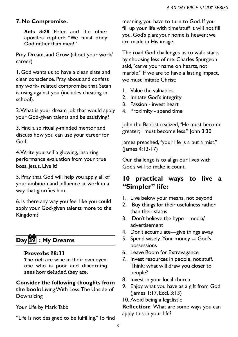### **7. No Compromise.**

**Acts 5:29** Peter and the other apostles replied: "We must obey God rather than men!"

Pray, Dream, and Grow (about your work/ career)

1. God wants us to have a clean slate and clear conscience. Pray about and confess any work- related compromise that Satan is using against you (includes cheating in school).

2. What is your dream job that would apply your God-given talents and be satisfying?

3. Find a spiritually-minded mentor and discuss how you can use your career for God.

4. Write yourself a glowing, inspiring performance evaluation from your true boss, Jesus. Live it!

5. Pray that God will help you apply all of your ambition and influence at work in a way that glorifies him.

6. Is there any way you feel like you could apply your God-given talents more to the Kingdom?

# **Day 39 : My Dreams**

#### **Proverbs 28:11**

The rich are wise in their own eyes; one who is poor and discerning sees how deluded they are.

### **Consider the following thoughts from**

**the book:** Living With Less: The Upside of Downsizing

Your Life by Mark Tabb

"Life is not designed to be fulfilling." To find

meaning, you have to turn to God. If you fill up your life with time/stuff it will not fill you. God's plan: your home is heaven; we are made in His image.

The road God challenges us to walk starts by choosing less of me. Charles Spurgeon said, "carve your name on hearts, not marble." If we are to have a lasting impact, we must imitate Christ:

- 1. Value the valuables
- 2. Imitate God's integrity
- 3. Passion invest heart
- 4. Proximity spend time

John the Baptist realized, "He must become greater; I must become less." John 3:30

James preached, "your life is a but a mist." (James 4:13-17)

Our challenge is to align our lives with God's will to make it count.

### **10 practical ways to live a "Simpler" life:**

- 1. Live below your means, not beyond
- 2. Buy things for their usefulness rather than their status
- 3. Don't believe the hype—media/ advertisement
- 4. Don't accumulate—give things away
- 5. Spend wisely. Your money  $=$  God's possessions
- 6. Leave Room for Extravagance
- 7. Invest resources in people, not stuff. Think: what will draw you closer to people?
- 8. Invest in your local church
- 9. Enjoy what you have as a gift from God (James 1:17, Eccl. 3:13)
- 10. Avoid being a legalistic

**Reflection:** What are some ways you can apply this in your life?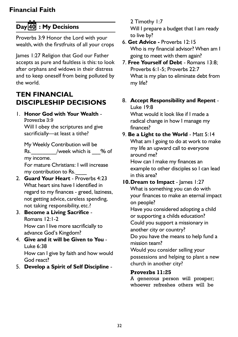# **Day 40 : My Decisions**

Proverbs 3:9 Honor the Lord with your wealth, with the firstfruits of all your crops

James 1:27 Religion that God our Father accepts as pure and faultless is this: to look after orphans and widows in their distress and to keep oneself from being polluted by the world.

# **TEN FINANCIAL DISCIPLESHIP DECISIONS**

1. **Honor God with Your Wealth** - Proverbs 3:9 Will I obey the scriptures and give

sacrificially—at least a tithe?

 My Weekly Contribution will be Rs. /week which is 2% of my income.

For mature Christians: I will increase my contribution to Rs.

- 2. **Guard Your Heart** Proverbs 4:23 What heart sins have I identified in regard to my finances - greed, laziness, not getting advice, careless spending, not taking responsibility, etc.?
- 3. **Become a Living Sacrifice**  Romans 12:1-2 How can I live more sacrificially to advance God's Kingdom?
- 4. **Give and it will be Given to You** Luke 6:38 How can I give by faith and how would

God react? 5. **Develop a Spirit of Self Discipline** -

### 2 Timothy 1:7

 Will I prepare a budget that I am ready to live by?

- 6. **Get Advice -** Proverbs 12:15 Who is my financial advisor? When am I going to meet with them again?
- 7. **Free Yourself of Debt**  Romans 13:8; Proverbs 6:1-5; Proverbs 22:7 What is my plan to eliminate debt from my life?
- 8. **Accept Responsibility and Repent** Luke 19:8

 What would it look like if I made a radical change in how I manage my finances?

- 9. **Be a Light to the World**  Matt 5:14 What am I going to do at work to make my life an upward call to everyone around me? How can I make my finances an example to other disciples so I can lead in this area?
- **10.Dream to Impact** James 1:27 What is something you can do with your finances to make an eternal impact on people?

 Have you considered adopting a child or supporting a childs education? Could you support a missionary in another city or country?

 Do you have the means to help fund a mission team?

Would you consider selling your possessions and helping to plant a new church in another city?

### **Proverbs 11:25**

A generous person will prosper; whoever refreshes others will be